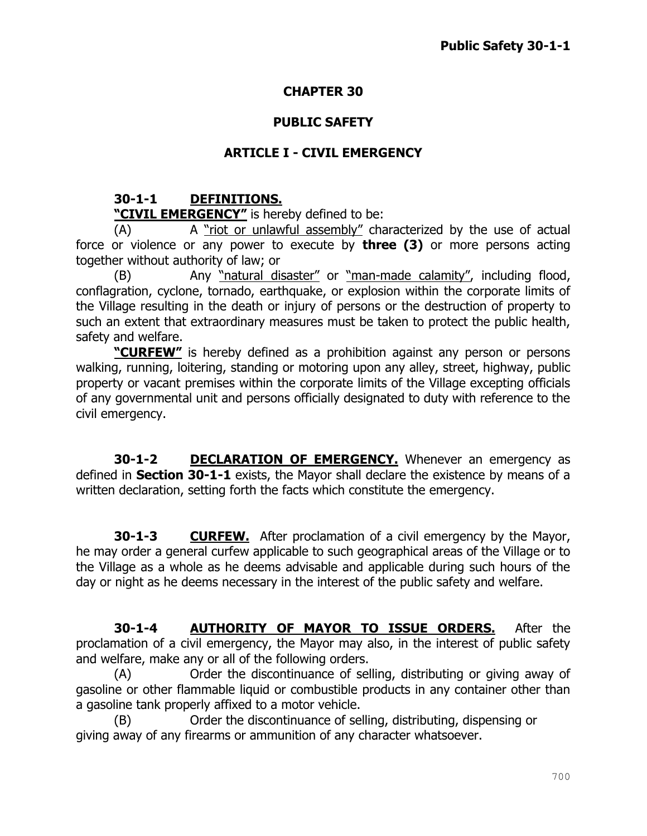## **CHAPTER 30**

## **PUBLIC SAFETY**

# **ARTICLE I - CIVIL EMERGENCY**

# **30-1-1 DEFINITIONS.**

### **"CIVIL EMERGENCY"** is hereby defined to be:

(A) A "riot or unlawful assembly" characterized by the use of actual force or violence or any power to execute by **three (3)** or more persons acting together without authority of law; or

(B) Any "natural disaster" or "man-made calamity", including flood, conflagration, cyclone, tornado, earthquake, or explosion within the corporate limits of the Village resulting in the death or injury of persons or the destruction of property to such an extent that extraordinary measures must be taken to protect the public health, safety and welfare.

**"CURFEW"** is hereby defined as a prohibition against any person or persons walking, running, loitering, standing or motoring upon any alley, street, highway, public property or vacant premises within the corporate limits of the Village excepting officials of any governmental unit and persons officially designated to duty with reference to the civil emergency.

**30-1-2 DECLARATION OF EMERGENCY.** Whenever an emergency as defined in **Section 30-1-1** exists, the Mayor shall declare the existence by means of a written declaration, setting forth the facts which constitute the emergency.

**30-1-3 CURFEW.** After proclamation of a civil emergency by the Mayor, he may order a general curfew applicable to such geographical areas of the Village or to the Village as a whole as he deems advisable and applicable during such hours of the day or night as he deems necessary in the interest of the public safety and welfare.

**30-1-4 AUTHORITY OF MAYOR TO ISSUE ORDERS.** After the proclamation of a civil emergency, the Mayor may also, in the interest of public safety and welfare, make any or all of the following orders.

(A) Order the discontinuance of selling, distributing or giving away of gasoline or other flammable liquid or combustible products in any container other than a gasoline tank properly affixed to a motor vehicle.

(B) Order the discontinuance of selling, distributing, dispensing or giving away of any firearms or ammunition of any character whatsoever.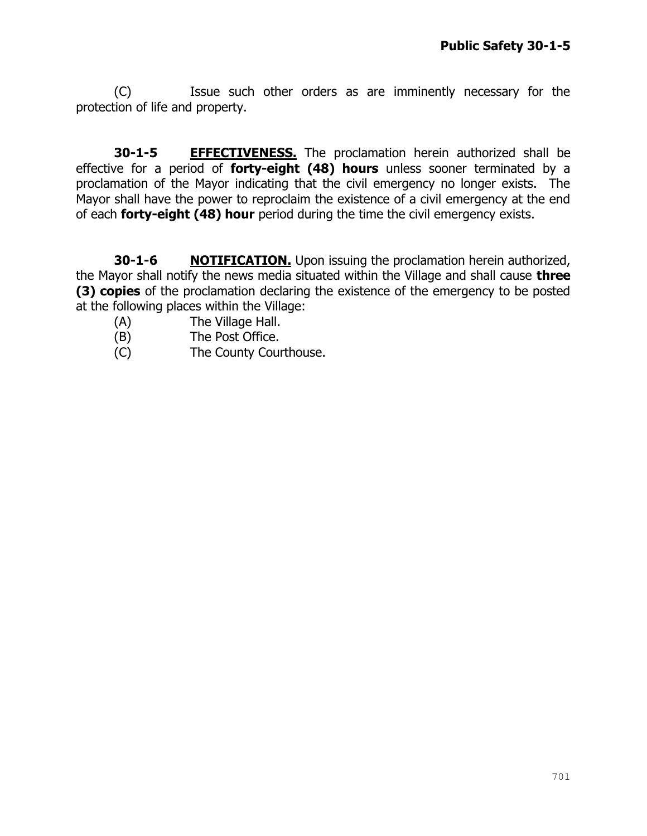(C) Issue such other orders as are imminently necessary for the protection of life and property.

**30-1-5 EFFECTIVENESS.** The proclamation herein authorized shall be effective for a period of **forty-eight (48) hours** unless sooner terminated by a proclamation of the Mayor indicating that the civil emergency no longer exists. The Mayor shall have the power to reproclaim the existence of a civil emergency at the end of each **forty-eight (48) hour** period during the time the civil emergency exists.

**30-1-6 NOTIFICATION.** Upon issuing the proclamation herein authorized, the Mayor shall notify the news media situated within the Village and shall cause **three (3) copies** of the proclamation declaring the existence of the emergency to be posted at the following places within the Village:

- (A) The Village Hall.
- (B) The Post Office.
- (C) The County Courthouse.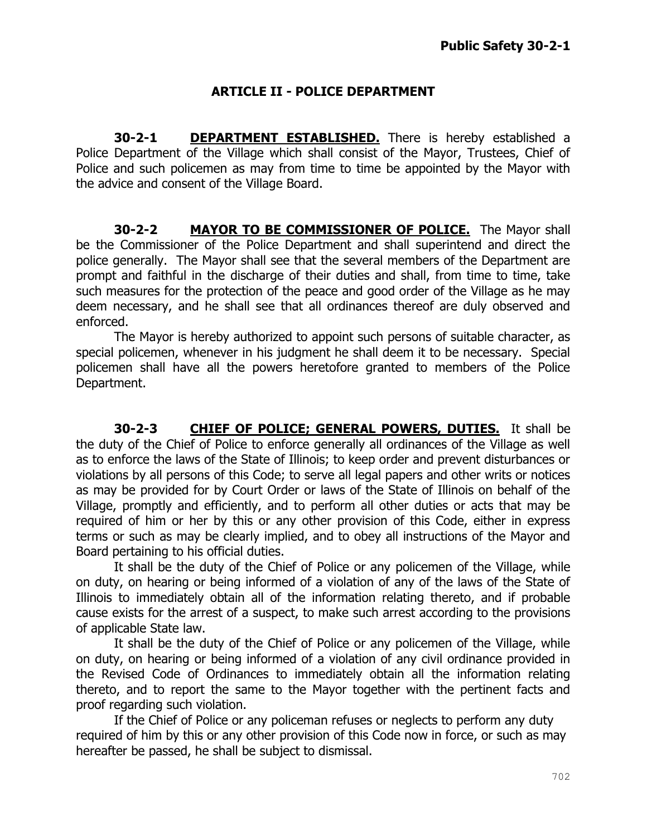## **ARTICLE II - POLICE DEPARTMENT**

**30-2-1 DEPARTMENT ESTABLISHED.** There is hereby established a Police Department of the Village which shall consist of the Mayor, Trustees, Chief of Police and such policemen as may from time to time be appointed by the Mayor with the advice and consent of the Village Board.

**30-2-2 MAYOR TO BE COMMISSIONER OF POLICE.** The Mayor shall be the Commissioner of the Police Department and shall superintend and direct the police generally. The Mayor shall see that the several members of the Department are prompt and faithful in the discharge of their duties and shall, from time to time, take such measures for the protection of the peace and good order of the Village as he may deem necessary, and he shall see that all ordinances thereof are duly observed and enforced.

The Mayor is hereby authorized to appoint such persons of suitable character, as special policemen, whenever in his judgment he shall deem it to be necessary. Special policemen shall have all the powers heretofore granted to members of the Police Department.

**30-2-3 CHIEF OF POLICE; GENERAL POWERS, DUTIES.** It shall be the duty of the Chief of Police to enforce generally all ordinances of the Village as well as to enforce the laws of the State of Illinois; to keep order and prevent disturbances or violations by all persons of this Code; to serve all legal papers and other writs or notices as may be provided for by Court Order or laws of the State of Illinois on behalf of the Village, promptly and efficiently, and to perform all other duties or acts that may be required of him or her by this or any other provision of this Code, either in express terms or such as may be clearly implied, and to obey all instructions of the Mayor and Board pertaining to his official duties.

It shall be the duty of the Chief of Police or any policemen of the Village, while on duty, on hearing or being informed of a violation of any of the laws of the State of Illinois to immediately obtain all of the information relating thereto, and if probable cause exists for the arrest of a suspect, to make such arrest according to the provisions of applicable State law.

It shall be the duty of the Chief of Police or any policemen of the Village, while on duty, on hearing or being informed of a violation of any civil ordinance provided in the Revised Code of Ordinances to immediately obtain all the information relating thereto, and to report the same to the Mayor together with the pertinent facts and proof regarding such violation.

If the Chief of Police or any policeman refuses or neglects to perform any duty required of him by this or any other provision of this Code now in force, or such as may hereafter be passed, he shall be subject to dismissal.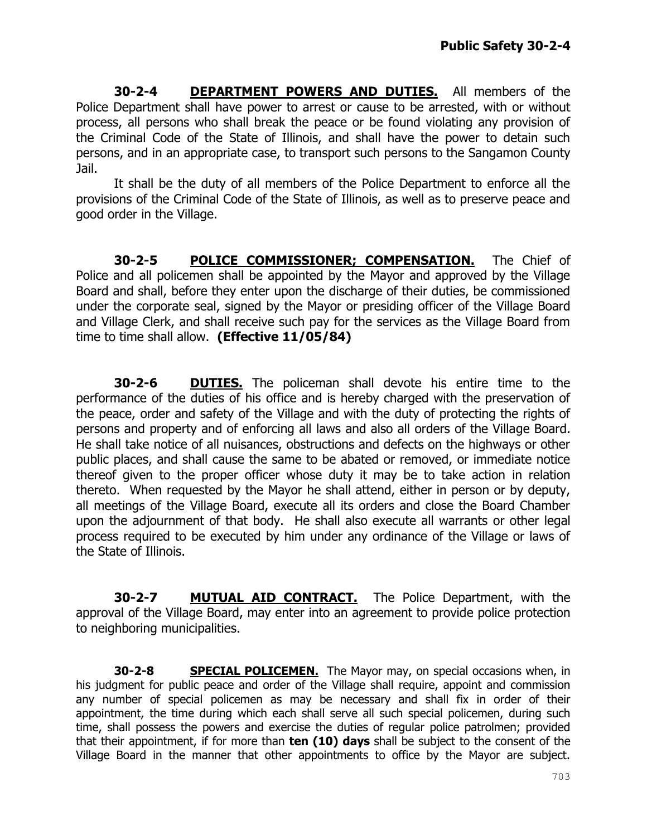**30-2-4 DEPARTMENT POWERS AND DUTIES.** All members of the Police Department shall have power to arrest or cause to be arrested, with or without process, all persons who shall break the peace or be found violating any provision of the Criminal Code of the State of Illinois, and shall have the power to detain such persons, and in an appropriate case, to transport such persons to the Sangamon County Jail.

It shall be the duty of all members of the Police Department to enforce all the provisions of the Criminal Code of the State of Illinois, as well as to preserve peace and good order in the Village.

**30-2-5 POLICE COMMISSIONER; COMPENSATION.** The Chief of Police and all policemen shall be appointed by the Mayor and approved by the Village Board and shall, before they enter upon the discharge of their duties, be commissioned under the corporate seal, signed by the Mayor or presiding officer of the Village Board and Village Clerk, and shall receive such pay for the services as the Village Board from time to time shall allow. **(Effective 11/05/84)**

**30-2-6 DUTIES.** The policeman shall devote his entire time to the performance of the duties of his office and is hereby charged with the preservation of the peace, order and safety of the Village and with the duty of protecting the rights of persons and property and of enforcing all laws and also all orders of the Village Board. He shall take notice of all nuisances, obstructions and defects on the highways or other public places, and shall cause the same to be abated or removed, or immediate notice thereof given to the proper officer whose duty it may be to take action in relation thereto. When requested by the Mayor he shall attend, either in person or by deputy, all meetings of the Village Board, execute all its orders and close the Board Chamber upon the adjournment of that body. He shall also execute all warrants or other legal process required to be executed by him under any ordinance of the Village or laws of the State of Illinois.

**30-2-7 MUTUAL AID CONTRACT.** The Police Department, with the approval of the Village Board, may enter into an agreement to provide police protection to neighboring municipalities.

**30-2-8 SPECIAL POLICEMEN.** The Mayor may, on special occasions when, in his judgment for public peace and order of the Village shall require, appoint and commission any number of special policemen as may be necessary and shall fix in order of their appointment, the time during which each shall serve all such special policemen, during such time, shall possess the powers and exercise the duties of regular police patrolmen; provided that their appointment, if for more than **ten (10) days** shall be subject to the consent of the Village Board in the manner that other appointments to office by the Mayor are subject.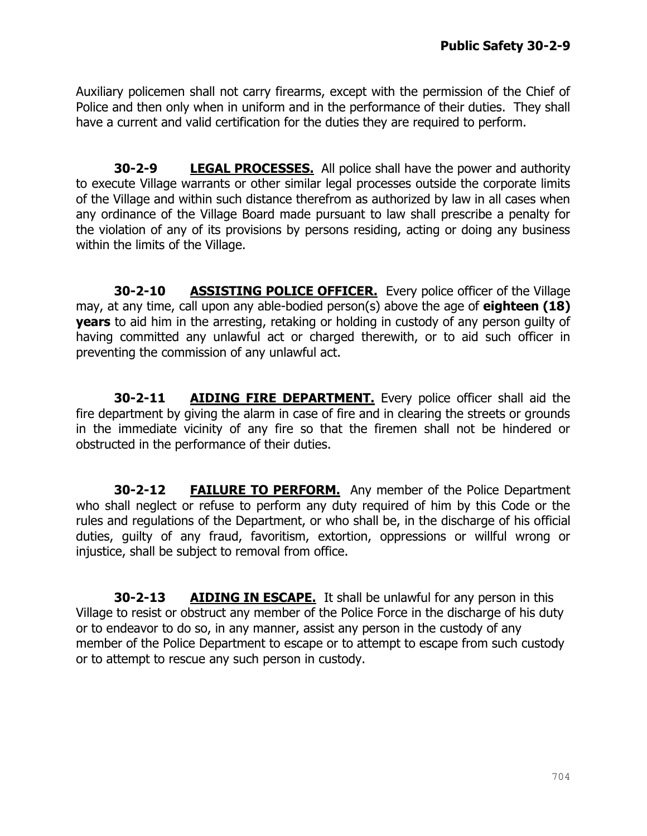Auxiliary policemen shall not carry firearms, except with the permission of the Chief of Police and then only when in uniform and in the performance of their duties. They shall have a current and valid certification for the duties they are required to perform.

**30-2-9 LEGAL PROCESSES.** All police shall have the power and authority to execute Village warrants or other similar legal processes outside the corporate limits of the Village and within such distance therefrom as authorized by law in all cases when any ordinance of the Village Board made pursuant to law shall prescribe a penalty for the violation of any of its provisions by persons residing, acting or doing any business within the limits of the Village.

**30-2-10 ASSISTING POLICE OFFICER.** Every police officer of the Village may, at any time, call upon any able-bodied person(s) above the age of **eighteen (18) years** to aid him in the arresting, retaking or holding in custody of any person guilty of having committed any unlawful act or charged therewith, or to aid such officer in preventing the commission of any unlawful act.

**30-2-11 AIDING FIRE DEPARTMENT.** Every police officer shall aid the fire department by giving the alarm in case of fire and in clearing the streets or grounds in the immediate vicinity of any fire so that the firemen shall not be hindered or obstructed in the performance of their duties.

**30-2-12 FAILURE TO PERFORM.** Any member of the Police Department who shall neglect or refuse to perform any duty required of him by this Code or the rules and regulations of the Department, or who shall be, in the discharge of his official duties, guilty of any fraud, favoritism, extortion, oppressions or willful wrong or injustice, shall be subject to removal from office.

**30-2-13 AIDING IN ESCAPE.** It shall be unlawful for any person in this Village to resist or obstruct any member of the Police Force in the discharge of his duty or to endeavor to do so, in any manner, assist any person in the custody of any member of the Police Department to escape or to attempt to escape from such custody or to attempt to rescue any such person in custody.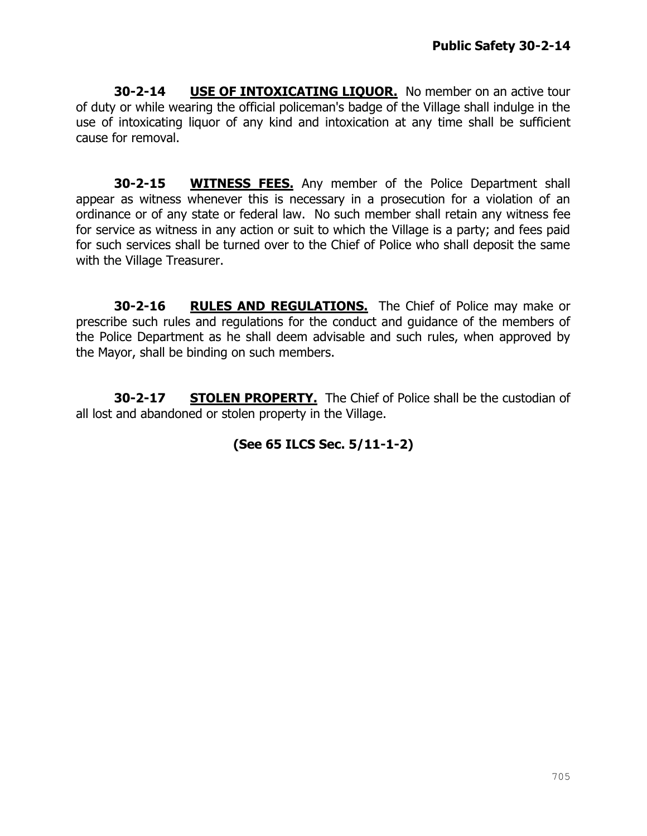**30-2-14 USE OF INTOXICATING LIQUOR.** No member on an active tour of duty or while wearing the official policeman's badge of the Village shall indulge in the use of intoxicating liquor of any kind and intoxication at any time shall be sufficient cause for removal.

**30-2-15 WITNESS FEES.** Any member of the Police Department shall appear as witness whenever this is necessary in a prosecution for a violation of an ordinance or of any state or federal law. No such member shall retain any witness fee for service as witness in any action or suit to which the Village is a party; and fees paid for such services shall be turned over to the Chief of Police who shall deposit the same with the Village Treasurer.

**30-2-16 RULES AND REGULATIONS.** The Chief of Police may make or prescribe such rules and regulations for the conduct and guidance of the members of the Police Department as he shall deem advisable and such rules, when approved by the Mayor, shall be binding on such members.

**30-2-17 STOLEN PROPERTY.** The Chief of Police shall be the custodian of all lost and abandoned or stolen property in the Village.

# **(See 65 ILCS Sec. 5/11-1-2)**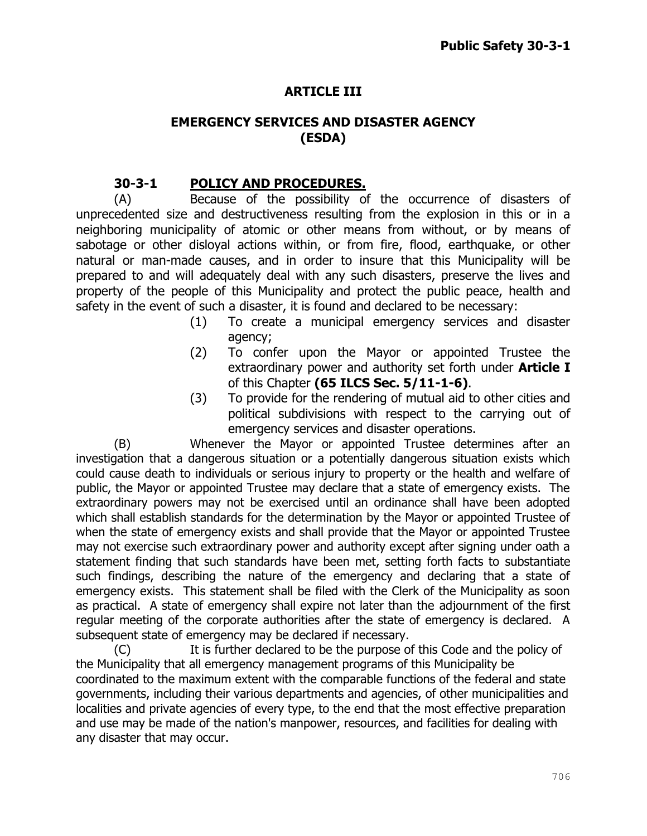# **ARTICLE III**

## **EMERGENCY SERVICES AND DISASTER AGENCY (ESDA)**

### **30-3-1 POLICY AND PROCEDURES.**

(A) Because of the possibility of the occurrence of disasters of unprecedented size and destructiveness resulting from the explosion in this or in a neighboring municipality of atomic or other means from without, or by means of sabotage or other disloyal actions within, or from fire, flood, earthquake, or other natural or man-made causes, and in order to insure that this Municipality will be prepared to and will adequately deal with any such disasters, preserve the lives and property of the people of this Municipality and protect the public peace, health and safety in the event of such a disaster, it is found and declared to be necessary:

- (1) To create a municipal emergency services and disaster agency;
- (2) To confer upon the Mayor or appointed Trustee the extraordinary power and authority set forth under **Article I** of this Chapter **(65 ILCS Sec. 5/11-1-6)**.
- (3) To provide for the rendering of mutual aid to other cities and political subdivisions with respect to the carrying out of emergency services and disaster operations.

(B) Whenever the Mayor or appointed Trustee determines after an investigation that a dangerous situation or a potentially dangerous situation exists which could cause death to individuals or serious injury to property or the health and welfare of public, the Mayor or appointed Trustee may declare that a state of emergency exists. The extraordinary powers may not be exercised until an ordinance shall have been adopted which shall establish standards for the determination by the Mayor or appointed Trustee of when the state of emergency exists and shall provide that the Mayor or appointed Trustee may not exercise such extraordinary power and authority except after signing under oath a statement finding that such standards have been met, setting forth facts to substantiate such findings, describing the nature of the emergency and declaring that a state of emergency exists. This statement shall be filed with the Clerk of the Municipality as soon as practical. A state of emergency shall expire not later than the adjournment of the first regular meeting of the corporate authorities after the state of emergency is declared. A subsequent state of emergency may be declared if necessary.

(C) It is further declared to be the purpose of this Code and the policy of the Municipality that all emergency management programs of this Municipality be coordinated to the maximum extent with the comparable functions of the federal and state governments, including their various departments and agencies, of other municipalities and localities and private agencies of every type, to the end that the most effective preparation and use may be made of the nation's manpower, resources, and facilities for dealing with any disaster that may occur.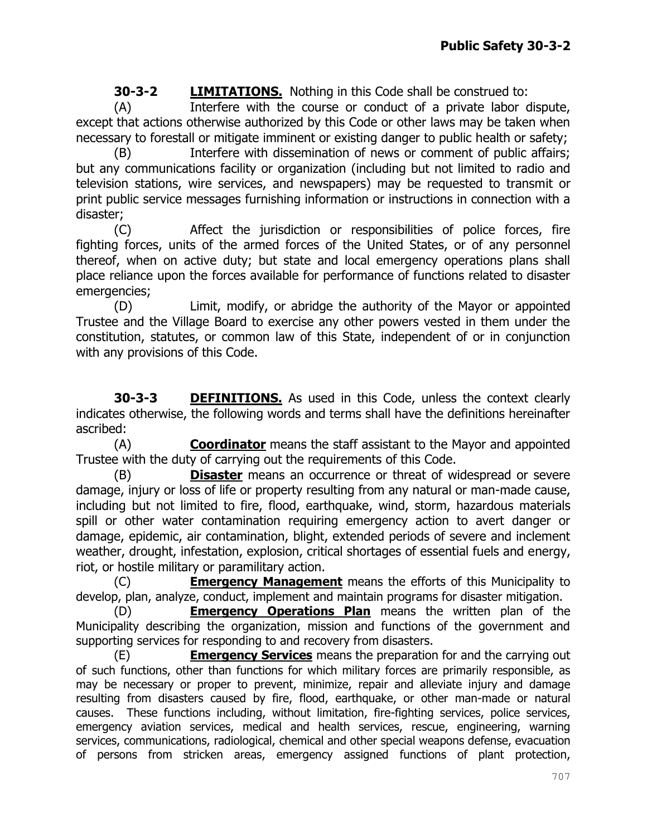**30-3-2 LIMITATIONS.** Nothing in this Code shall be construed to:

(A) Interfere with the course or conduct of a private labor dispute, except that actions otherwise authorized by this Code or other laws may be taken when necessary to forestall or mitigate imminent or existing danger to public health or safety;

(B) Interfere with dissemination of news or comment of public affairs; but any communications facility or organization (including but not limited to radio and television stations, wire services, and newspapers) may be requested to transmit or print public service messages furnishing information or instructions in connection with a disaster;

(C) Affect the jurisdiction or responsibilities of police forces, fire fighting forces, units of the armed forces of the United States, or of any personnel thereof, when on active duty; but state and local emergency operations plans shall place reliance upon the forces available for performance of functions related to disaster emergencies;

(D) Limit, modify, or abridge the authority of the Mayor or appointed Trustee and the Village Board to exercise any other powers vested in them under the constitution, statutes, or common law of this State, independent of or in conjunction with any provisions of this Code.

**30-3-3 DEFINITIONS.** As used in this Code, unless the context clearly indicates otherwise, the following words and terms shall have the definitions hereinafter ascribed:

(A) **Coordinator** means the staff assistant to the Mayor and appointed Trustee with the duty of carrying out the requirements of this Code.

(B) **Disaster** means an occurrence or threat of widespread or severe damage, injury or loss of life or property resulting from any natural or man-made cause, including but not limited to fire, flood, earthquake, wind, storm, hazardous materials spill or other water contamination requiring emergency action to avert danger or damage, epidemic, air contamination, blight, extended periods of severe and inclement weather, drought, infestation, explosion, critical shortages of essential fuels and energy, riot, or hostile military or paramilitary action.

(C) **Emergency Management** means the efforts of this Municipality to develop, plan, analyze, conduct, implement and maintain programs for disaster mitigation.

(D) **Emergency Operations Plan** means the written plan of the Municipality describing the organization, mission and functions of the government and supporting services for responding to and recovery from disasters.

(E) **Emergency Services** means the preparation for and the carrying out of such functions, other than functions for which military forces are primarily responsible, as may be necessary or proper to prevent, minimize, repair and alleviate injury and damage resulting from disasters caused by fire, flood, earthquake, or other man-made or natural causes. These functions including, without limitation, fire-fighting services, police services, emergency aviation services, medical and health services, rescue, engineering, warning services, communications, radiological, chemical and other special weapons defense, evacuation of persons from stricken areas, emergency assigned functions of plant protection,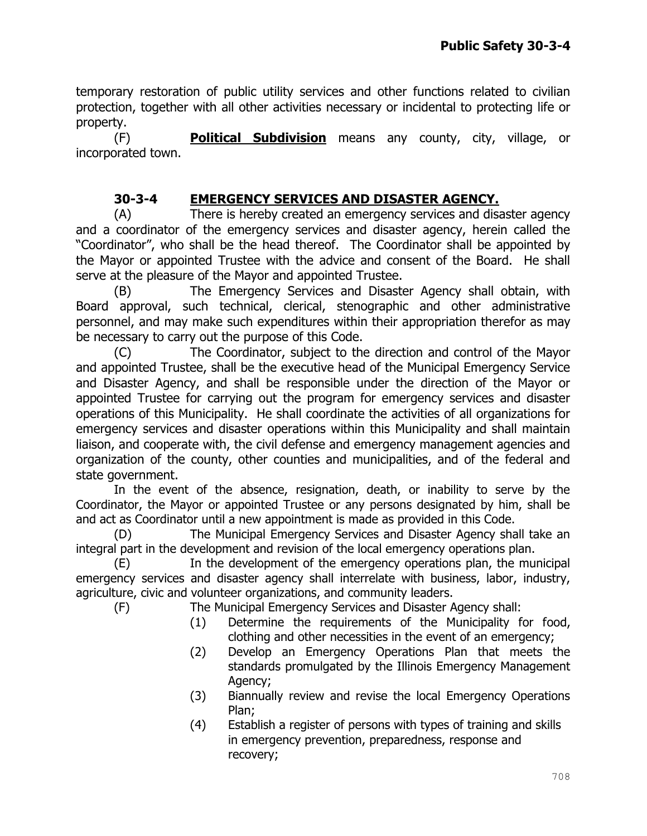temporary restoration of public utility services and other functions related to civilian protection, together with all other activities necessary or incidental to protecting life or property.

(F) **Political Subdivision** means any county, city, village, or incorporated town.

# **30-3-4 EMERGENCY SERVICES AND DISASTER AGENCY.**

(A) There is hereby created an emergency services and disaster agency and a coordinator of the emergency services and disaster agency, herein called the "Coordinator", who shall be the head thereof. The Coordinator shall be appointed by the Mayor or appointed Trustee with the advice and consent of the Board. He shall serve at the pleasure of the Mayor and appointed Trustee.

(B) The Emergency Services and Disaster Agency shall obtain, with Board approval, such technical, clerical, stenographic and other administrative personnel, and may make such expenditures within their appropriation therefor as may be necessary to carry out the purpose of this Code.

(C) The Coordinator, subject to the direction and control of the Mayor and appointed Trustee, shall be the executive head of the Municipal Emergency Service and Disaster Agency, and shall be responsible under the direction of the Mayor or appointed Trustee for carrying out the program for emergency services and disaster operations of this Municipality. He shall coordinate the activities of all organizations for emergency services and disaster operations within this Municipality and shall maintain liaison, and cooperate with, the civil defense and emergency management agencies and organization of the county, other counties and municipalities, and of the federal and state government.

In the event of the absence, resignation, death, or inability to serve by the Coordinator, the Mayor or appointed Trustee or any persons designated by him, shall be and act as Coordinator until a new appointment is made as provided in this Code.

(D) The Municipal Emergency Services and Disaster Agency shall take an integral part in the development and revision of the local emergency operations plan.

(E) In the development of the emergency operations plan, the municipal emergency services and disaster agency shall interrelate with business, labor, industry, agriculture, civic and volunteer organizations, and community leaders.

(F) The Municipal Emergency Services and Disaster Agency shall:

- (1) Determine the requirements of the Municipality for food, clothing and other necessities in the event of an emergency;
- (2) Develop an Emergency Operations Plan that meets the standards promulgated by the Illinois Emergency Management Agency;
- (3) Biannually review and revise the local Emergency Operations Plan;
- (4) Establish a register of persons with types of training and skills in emergency prevention, preparedness, response and recovery;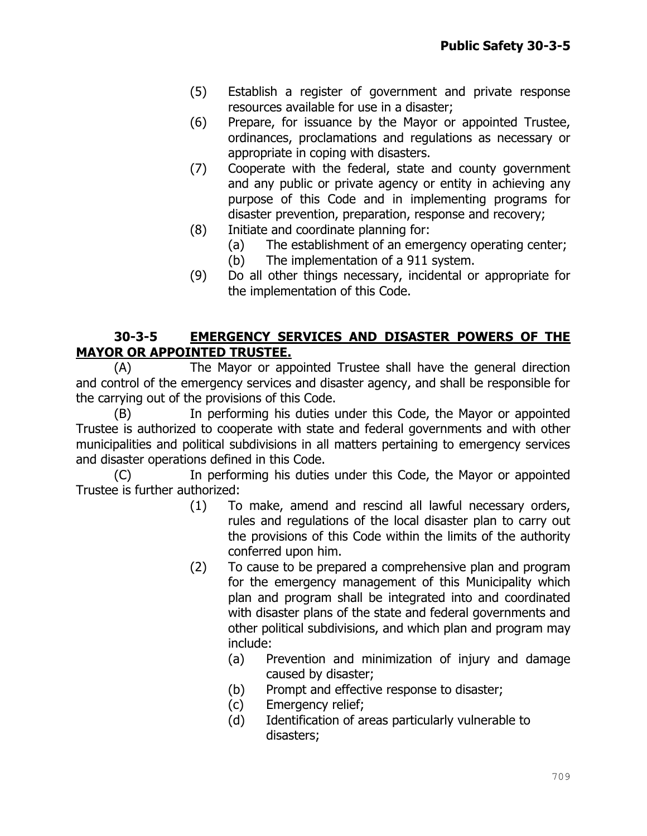- (5) Establish a register of government and private response resources available for use in a disaster;
- (6) Prepare, for issuance by the Mayor or appointed Trustee, ordinances, proclamations and regulations as necessary or appropriate in coping with disasters.
- (7) Cooperate with the federal, state and county government and any public or private agency or entity in achieving any purpose of this Code and in implementing programs for disaster prevention, preparation, response and recovery;
- (8) Initiate and coordinate planning for:
	- (a) The establishment of an emergency operating center;
	- (b) The implementation of a 911 system.
- (9) Do all other things necessary, incidental or appropriate for the implementation of this Code.

## **30-3-5 EMERGENCY SERVICES AND DISASTER POWERS OF THE MAYOR OR APPOINTED TRUSTEE.**

(A) The Mayor or appointed Trustee shall have the general direction and control of the emergency services and disaster agency, and shall be responsible for the carrying out of the provisions of this Code.

(B) In performing his duties under this Code, the Mayor or appointed Trustee is authorized to cooperate with state and federal governments and with other municipalities and political subdivisions in all matters pertaining to emergency services and disaster operations defined in this Code.

(C) In performing his duties under this Code, the Mayor or appointed Trustee is further authorized:

- (1) To make, amend and rescind all lawful necessary orders, rules and regulations of the local disaster plan to carry out the provisions of this Code within the limits of the authority conferred upon him.
- (2) To cause to be prepared a comprehensive plan and program for the emergency management of this Municipality which plan and program shall be integrated into and coordinated with disaster plans of the state and federal governments and other political subdivisions, and which plan and program may include:
	- (a) Prevention and minimization of injury and damage caused by disaster;
	- (b) Prompt and effective response to disaster;
	- (c) Emergency relief;
	- (d) Identification of areas particularly vulnerable to disasters;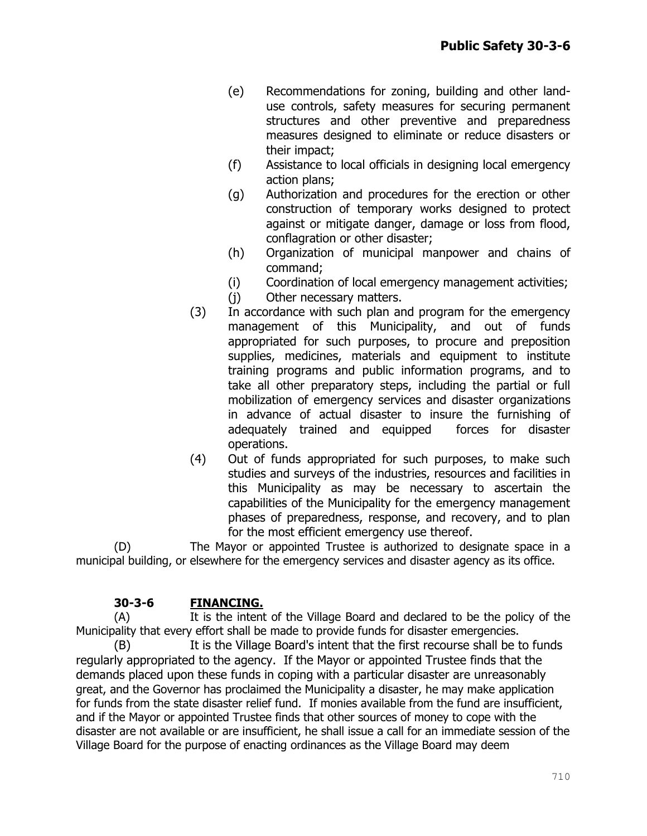- (e) Recommendations for zoning, building and other landuse controls, safety measures for securing permanent structures and other preventive and preparedness measures designed to eliminate or reduce disasters or their impact;
- (f) Assistance to local officials in designing local emergency action plans;
- (g) Authorization and procedures for the erection or other construction of temporary works designed to protect against or mitigate danger, damage or loss from flood, conflagration or other disaster;
- (h) Organization of municipal manpower and chains of command;
- (i) Coordination of local emergency management activities;
- (j) Other necessary matters.
- (3) In accordance with such plan and program for the emergency management of this Municipality, and out of funds appropriated for such purposes, to procure and preposition supplies, medicines, materials and equipment to institute training programs and public information programs, and to take all other preparatory steps, including the partial or full mobilization of emergency services and disaster organizations in advance of actual disaster to insure the furnishing of adequately trained and equipped forces for disaster operations.
- (4) Out of funds appropriated for such purposes, to make such studies and surveys of the industries, resources and facilities in this Municipality as may be necessary to ascertain the capabilities of the Municipality for the emergency management phases of preparedness, response, and recovery, and to plan for the most efficient emergency use thereof.

(D) The Mayor or appointed Trustee is authorized to designate space in a municipal building, or elsewhere for the emergency services and disaster agency as its office.

#### **30-3-6 FINANCING.**

(A) It is the intent of the Village Board and declared to be the policy of the Municipality that every effort shall be made to provide funds for disaster emergencies.

(B) It is the Village Board's intent that the first recourse shall be to funds regularly appropriated to the agency. If the Mayor or appointed Trustee finds that the demands placed upon these funds in coping with a particular disaster are unreasonably great, and the Governor has proclaimed the Municipality a disaster, he may make application for funds from the state disaster relief fund. If monies available from the fund are insufficient, and if the Mayor or appointed Trustee finds that other sources of money to cope with the disaster are not available or are insufficient, he shall issue a call for an immediate session of the Village Board for the purpose of enacting ordinances as the Village Board may deem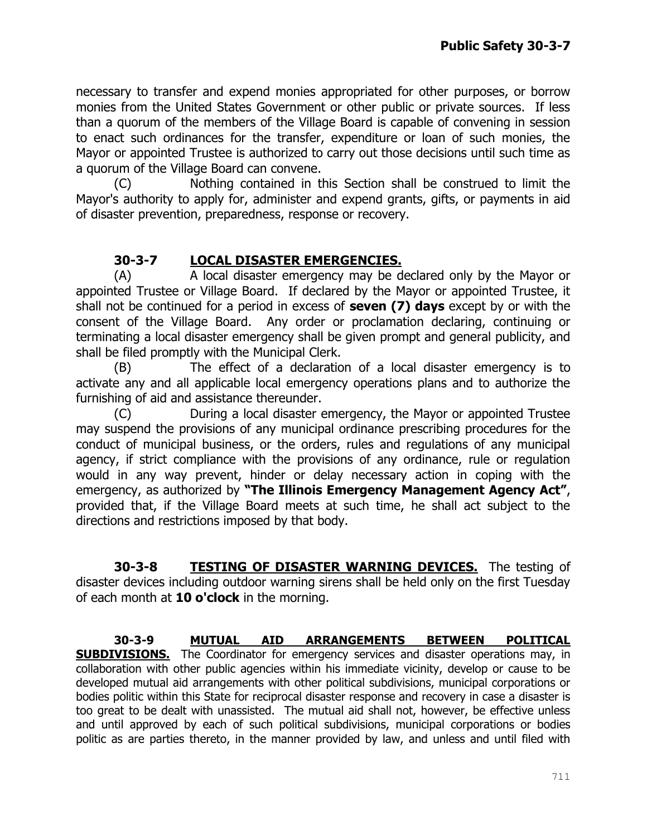necessary to transfer and expend monies appropriated for other purposes, or borrow monies from the United States Government or other public or private sources. If less than a quorum of the members of the Village Board is capable of convening in session to enact such ordinances for the transfer, expenditure or loan of such monies, the Mayor or appointed Trustee is authorized to carry out those decisions until such time as a quorum of the Village Board can convene.

(C) Nothing contained in this Section shall be construed to limit the Mayor's authority to apply for, administer and expend grants, gifts, or payments in aid of disaster prevention, preparedness, response or recovery.

# **30-3-7 LOCAL DISASTER EMERGENCIES.**

(A) A local disaster emergency may be declared only by the Mayor or appointed Trustee or Village Board. If declared by the Mayor or appointed Trustee, it shall not be continued for a period in excess of **seven (7) days** except by or with the consent of the Village Board. Any order or proclamation declaring, continuing or terminating a local disaster emergency shall be given prompt and general publicity, and shall be filed promptly with the Municipal Clerk.

(B) The effect of a declaration of a local disaster emergency is to activate any and all applicable local emergency operations plans and to authorize the furnishing of aid and assistance thereunder.

(C) During a local disaster emergency, the Mayor or appointed Trustee may suspend the provisions of any municipal ordinance prescribing procedures for the conduct of municipal business, or the orders, rules and regulations of any municipal agency, if strict compliance with the provisions of any ordinance, rule or regulation would in any way prevent, hinder or delay necessary action in coping with the emergency, as authorized by **"The Illinois Emergency Management Agency Act"**, provided that, if the Village Board meets at such time, he shall act subject to the directions and restrictions imposed by that body.

**30-3-8 TESTING OF DISASTER WARNING DEVICES.** The testing of disaster devices including outdoor warning sirens shall be held only on the first Tuesday of each month at **10 o'clock** in the morning.

#### **30-3-9 MUTUAL AID ARRANGEMENTS BETWEEN POLITICAL SUBDIVISIONS.** The Coordinator for emergency services and disaster operations may, in collaboration with other public agencies within his immediate vicinity, develop or cause to be developed mutual aid arrangements with other political subdivisions, municipal corporations or bodies politic within this State for reciprocal disaster response and recovery in case a disaster is too great to be dealt with unassisted. The mutual aid shall not, however, be effective unless and until approved by each of such political subdivisions, municipal corporations or bodies politic as are parties thereto, in the manner provided by law, and unless and until filed with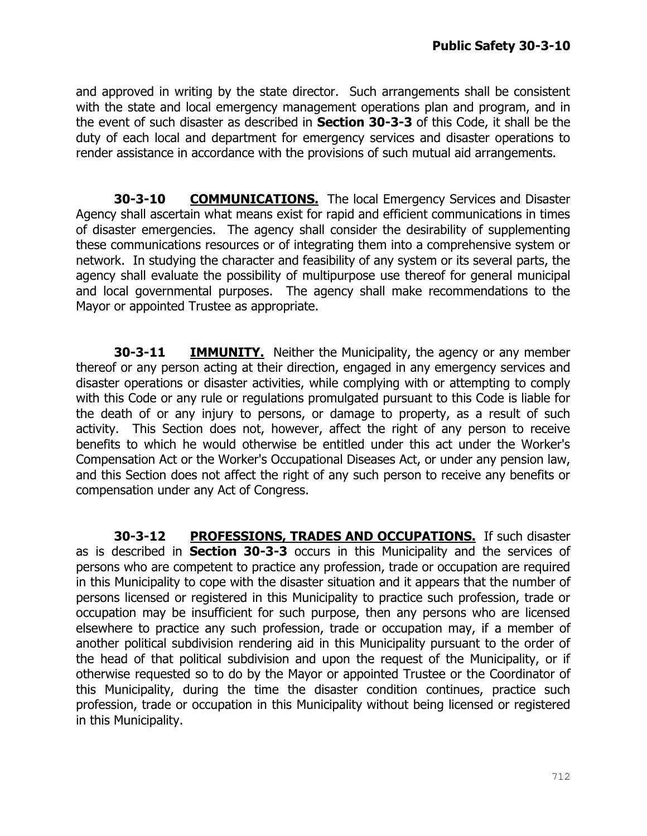and approved in writing by the state director. Such arrangements shall be consistent with the state and local emergency management operations plan and program, and in the event of such disaster as described in **Section 30-3-3** of this Code, it shall be the duty of each local and department for emergency services and disaster operations to render assistance in accordance with the provisions of such mutual aid arrangements.

**30-3-10 COMMUNICATIONS.** The local Emergency Services and Disaster Agency shall ascertain what means exist for rapid and efficient communications in times of disaster emergencies. The agency shall consider the desirability of supplementing these communications resources or of integrating them into a comprehensive system or network. In studying the character and feasibility of any system or its several parts, the agency shall evaluate the possibility of multipurpose use thereof for general municipal and local governmental purposes. The agency shall make recommendations to the Mayor or appointed Trustee as appropriate.

**30-3-11 IMMUNITY.** Neither the Municipality, the agency or any member thereof or any person acting at their direction, engaged in any emergency services and disaster operations or disaster activities, while complying with or attempting to comply with this Code or any rule or regulations promulgated pursuant to this Code is liable for the death of or any injury to persons, or damage to property, as a result of such activity. This Section does not, however, affect the right of any person to receive benefits to which he would otherwise be entitled under this act under the Worker's Compensation Act or the Worker's Occupational Diseases Act, or under any pension law, and this Section does not affect the right of any such person to receive any benefits or compensation under any Act of Congress.

**30-3-12 PROFESSIONS, TRADES AND OCCUPATIONS.** If such disaster as is described in **Section 30-3-3** occurs in this Municipality and the services of persons who are competent to practice any profession, trade or occupation are required in this Municipality to cope with the disaster situation and it appears that the number of persons licensed or registered in this Municipality to practice such profession, trade or occupation may be insufficient for such purpose, then any persons who are licensed elsewhere to practice any such profession, trade or occupation may, if a member of another political subdivision rendering aid in this Municipality pursuant to the order of the head of that political subdivision and upon the request of the Municipality, or if otherwise requested so to do by the Mayor or appointed Trustee or the Coordinator of this Municipality, during the time the disaster condition continues, practice such profession, trade or occupation in this Municipality without being licensed or registered in this Municipality.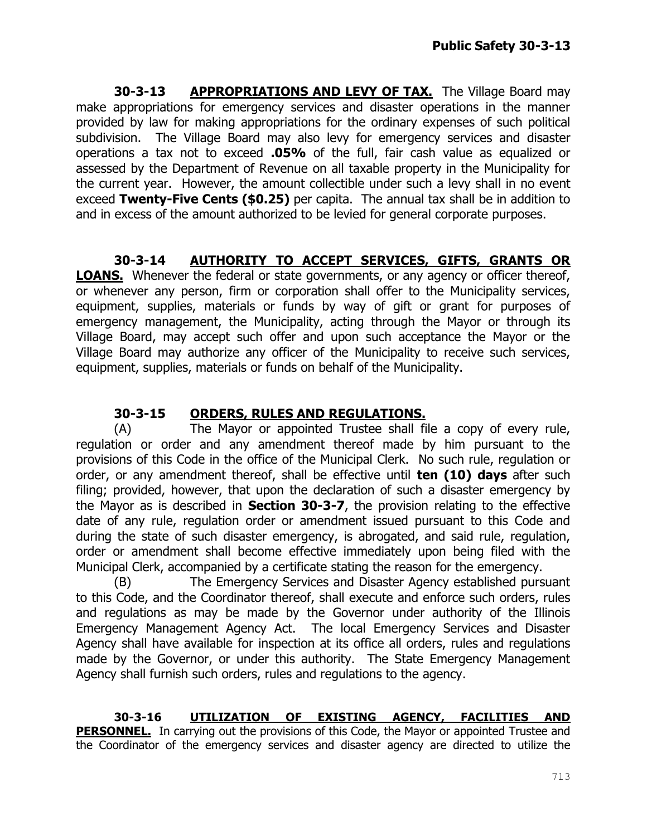**30-3-13** APPROPRIATIONS AND LEVY OF TAX. The Village Board may make appropriations for emergency services and disaster operations in the manner provided by law for making appropriations for the ordinary expenses of such political subdivision. The Village Board may also levy for emergency services and disaster operations a tax not to exceed **.05%** of the full, fair cash value as equalized or assessed by the Department of Revenue on all taxable property in the Municipality for the current year. However, the amount collectible under such a levy shall in no event exceed **Twenty-Five Cents (\$0.25)** per capita. The annual tax shall be in addition to and in excess of the amount authorized to be levied for general corporate purposes.

# **30-3-14 AUTHORITY TO ACCEPT SERVICES, GIFTS, GRANTS OR**

**LOANS.** Whenever the federal or state governments, or any agency or officer thereof, or whenever any person, firm or corporation shall offer to the Municipality services, equipment, supplies, materials or funds by way of gift or grant for purposes of emergency management, the Municipality, acting through the Mayor or through its Village Board, may accept such offer and upon such acceptance the Mayor or the Village Board may authorize any officer of the Municipality to receive such services, equipment, supplies, materials or funds on behalf of the Municipality.

# **30-3-15 ORDERS, RULES AND REGULATIONS.**

(A) The Mayor or appointed Trustee shall file a copy of every rule, regulation or order and any amendment thereof made by him pursuant to the provisions of this Code in the office of the Municipal Clerk. No such rule, regulation or order, or any amendment thereof, shall be effective until **ten (10) days** after such filing; provided, however, that upon the declaration of such a disaster emergency by the Mayor as is described in **Section 30-3-7**, the provision relating to the effective date of any rule, regulation order or amendment issued pursuant to this Code and during the state of such disaster emergency, is abrogated, and said rule, regulation, order or amendment shall become effective immediately upon being filed with the Municipal Clerk, accompanied by a certificate stating the reason for the emergency.

(B) The Emergency Services and Disaster Agency established pursuant to this Code, and the Coordinator thereof, shall execute and enforce such orders, rules and regulations as may be made by the Governor under authority of the Illinois Emergency Management Agency Act. The local Emergency Services and Disaster Agency shall have available for inspection at its office all orders, rules and regulations made by the Governor, or under this authority. The State Emergency Management Agency shall furnish such orders, rules and regulations to the agency.

**30-3-16 UTILIZATION OF EXISTING AGENCY, FACILITIES AND PERSONNEL.** In carrying out the provisions of this Code, the Mayor or appointed Trustee and the Coordinator of the emergency services and disaster agency are directed to utilize the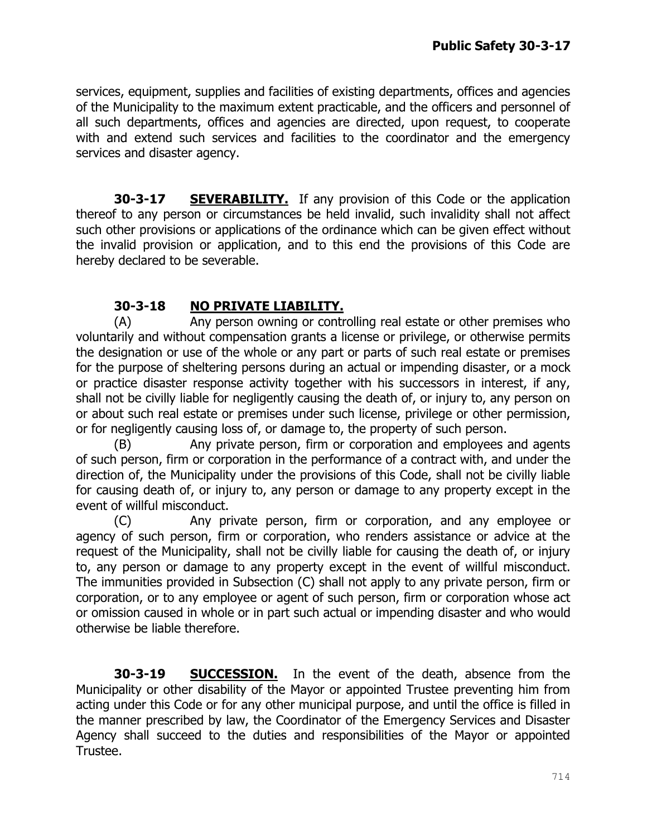services, equipment, supplies and facilities of existing departments, offices and agencies of the Municipality to the maximum extent practicable, and the officers and personnel of all such departments, offices and agencies are directed, upon request, to cooperate with and extend such services and facilities to the coordinator and the emergency services and disaster agency.

**30-3-17 SEVERABILITY.** If any provision of this Code or the application thereof to any person or circumstances be held invalid, such invalidity shall not affect such other provisions or applications of the ordinance which can be given effect without the invalid provision or application, and to this end the provisions of this Code are hereby declared to be severable.

# **30-3-18 NO PRIVATE LIABILITY.**

(A) Any person owning or controlling real estate or other premises who voluntarily and without compensation grants a license or privilege, or otherwise permits the designation or use of the whole or any part or parts of such real estate or premises for the purpose of sheltering persons during an actual or impending disaster, or a mock or practice disaster response activity together with his successors in interest, if any, shall not be civilly liable for negligently causing the death of, or injury to, any person on or about such real estate or premises under such license, privilege or other permission, or for negligently causing loss of, or damage to, the property of such person.

(B) Any private person, firm or corporation and employees and agents of such person, firm or corporation in the performance of a contract with, and under the direction of, the Municipality under the provisions of this Code, shall not be civilly liable for causing death of, or injury to, any person or damage to any property except in the event of willful misconduct.

(C) Any private person, firm or corporation, and any employee or agency of such person, firm or corporation, who renders assistance or advice at the request of the Municipality, shall not be civilly liable for causing the death of, or injury to, any person or damage to any property except in the event of willful misconduct. The immunities provided in Subsection (C) shall not apply to any private person, firm or corporation, or to any employee or agent of such person, firm or corporation whose act or omission caused in whole or in part such actual or impending disaster and who would otherwise be liable therefore.

**30-3-19 SUCCESSION.** In the event of the death, absence from the Municipality or other disability of the Mayor or appointed Trustee preventing him from acting under this Code or for any other municipal purpose, and until the office is filled in the manner prescribed by law, the Coordinator of the Emergency Services and Disaster Agency shall succeed to the duties and responsibilities of the Mayor or appointed Trustee.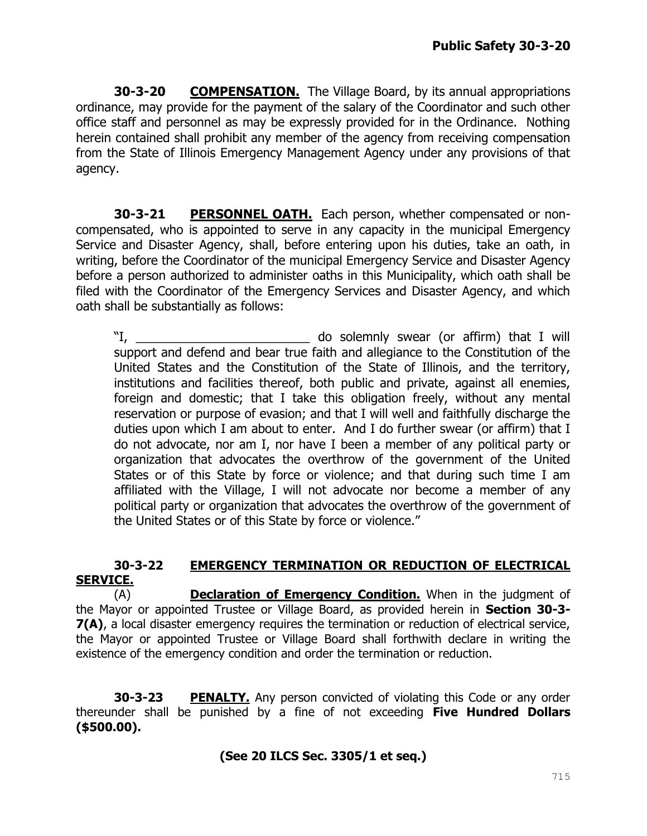**30-3-20 COMPENSATION.** The Village Board, by its annual appropriations ordinance, may provide for the payment of the salary of the Coordinator and such other office staff and personnel as may be expressly provided for in the Ordinance. Nothing herein contained shall prohibit any member of the agency from receiving compensation from the State of Illinois Emergency Management Agency under any provisions of that agency.

**30-3-21 PERSONNEL OATH.** Each person, whether compensated or noncompensated, who is appointed to serve in any capacity in the municipal Emergency Service and Disaster Agency, shall, before entering upon his duties, take an oath, in writing, before the Coordinator of the municipal Emergency Service and Disaster Agency before a person authorized to administer oaths in this Municipality, which oath shall be filed with the Coordinator of the Emergency Services and Disaster Agency, and which oath shall be substantially as follows:

"I, \_\_\_\_\_\_\_\_\_\_\_\_\_\_\_\_\_\_\_\_\_\_\_\_\_ do solemnly swear (or affirm) that I will support and defend and bear true faith and allegiance to the Constitution of the United States and the Constitution of the State of Illinois, and the territory, institutions and facilities thereof, both public and private, against all enemies, foreign and domestic; that I take this obligation freely, without any mental reservation or purpose of evasion; and that I will well and faithfully discharge the duties upon which I am about to enter. And I do further swear (or affirm) that I do not advocate, nor am I, nor have I been a member of any political party or organization that advocates the overthrow of the government of the United States or of this State by force or violence; and that during such time I am affiliated with the Village, I will not advocate nor become a member of any political party or organization that advocates the overthrow of the government of the United States or of this State by force or violence."

## **30-3-22 EMERGENCY TERMINATION OR REDUCTION OF ELECTRICAL SERVICE.**

(A) **Declaration of Emergency Condition.** When in the judgment of the Mayor or appointed Trustee or Village Board, as provided herein in **Section 30-3- 7(A)**, a local disaster emergency requires the termination or reduction of electrical service, the Mayor or appointed Trustee or Village Board shall forthwith declare in writing the existence of the emergency condition and order the termination or reduction.

**30-3-23 PENALTY.** Any person convicted of violating this Code or any order thereunder shall be punished by a fine of not exceeding **Five Hundred Dollars (\$500.00).**

## **(See 20 ILCS Sec. 3305/1 et seq.)**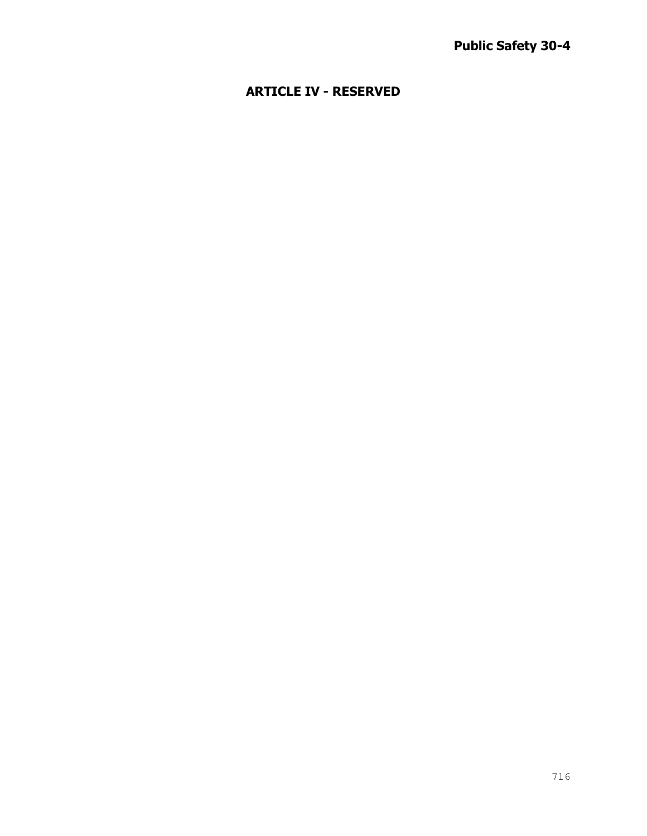# **ARTICLE IV - RESERVED**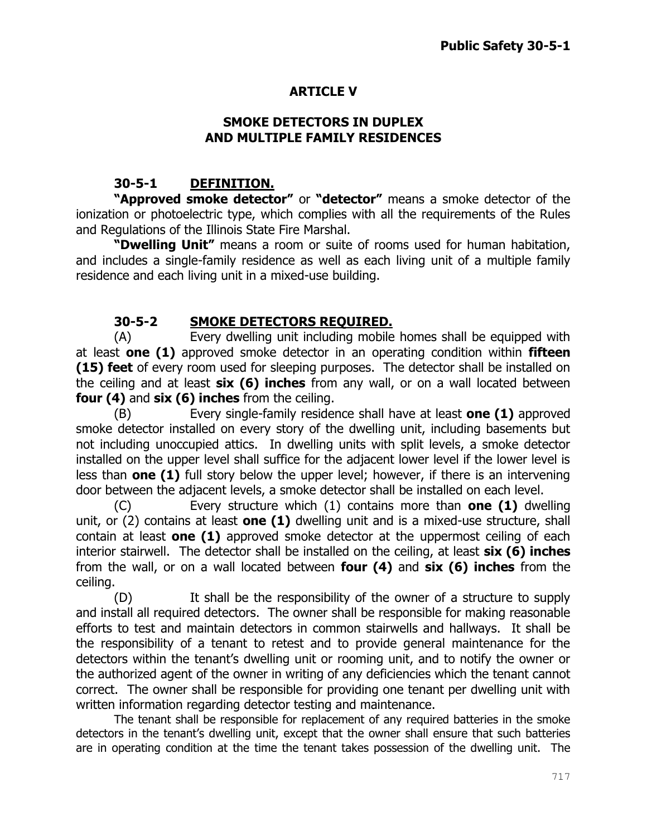# **ARTICLE V**

### **SMOKE DETECTORS IN DUPLEX AND MULTIPLE FAMILY RESIDENCES**

## **30-5-1 DEFINITION.**

**"Approved smoke detector"** or **"detector"** means a smoke detector of the ionization or photoelectric type, which complies with all the requirements of the Rules and Regulations of the Illinois State Fire Marshal.

**"Dwelling Unit"** means a room or suite of rooms used for human habitation, and includes a single-family residence as well as each living unit of a multiple family residence and each living unit in a mixed-use building.

# **30-5-2 SMOKE DETECTORS REQUIRED.**

(A) Every dwelling unit including mobile homes shall be equipped with at least **one (1)** approved smoke detector in an operating condition within **fifteen (15) feet** of every room used for sleeping purposes. The detector shall be installed on the ceiling and at least **six (6) inches** from any wall, or on a wall located between **four (4)** and **six (6) inches** from the ceiling.

(B) Every single-family residence shall have at least **one (1)** approved smoke detector installed on every story of the dwelling unit, including basements but not including unoccupied attics. In dwelling units with split levels, a smoke detector installed on the upper level shall suffice for the adjacent lower level if the lower level is less than **one (1)** full story below the upper level; however, if there is an intervening door between the adjacent levels, a smoke detector shall be installed on each level.

(C) Every structure which (1) contains more than **one (1)** dwelling unit, or (2) contains at least **one (1)** dwelling unit and is a mixed-use structure, shall contain at least **one (1)** approved smoke detector at the uppermost ceiling of each interior stairwell. The detector shall be installed on the ceiling, at least **six (6) inches** from the wall, or on a wall located between **four (4)** and **six (6) inches** from the ceiling.

(D) It shall be the responsibility of the owner of a structure to supply and install all required detectors. The owner shall be responsible for making reasonable efforts to test and maintain detectors in common stairwells and hallways. It shall be the responsibility of a tenant to retest and to provide general maintenance for the detectors within the tenant's dwelling unit or rooming unit, and to notify the owner or the authorized agent of the owner in writing of any deficiencies which the tenant cannot correct. The owner shall be responsible for providing one tenant per dwelling unit with written information regarding detector testing and maintenance.

The tenant shall be responsible for replacement of any required batteries in the smoke detectors in the tenant's dwelling unit, except that the owner shall ensure that such batteries are in operating condition at the time the tenant takes possession of the dwelling unit. The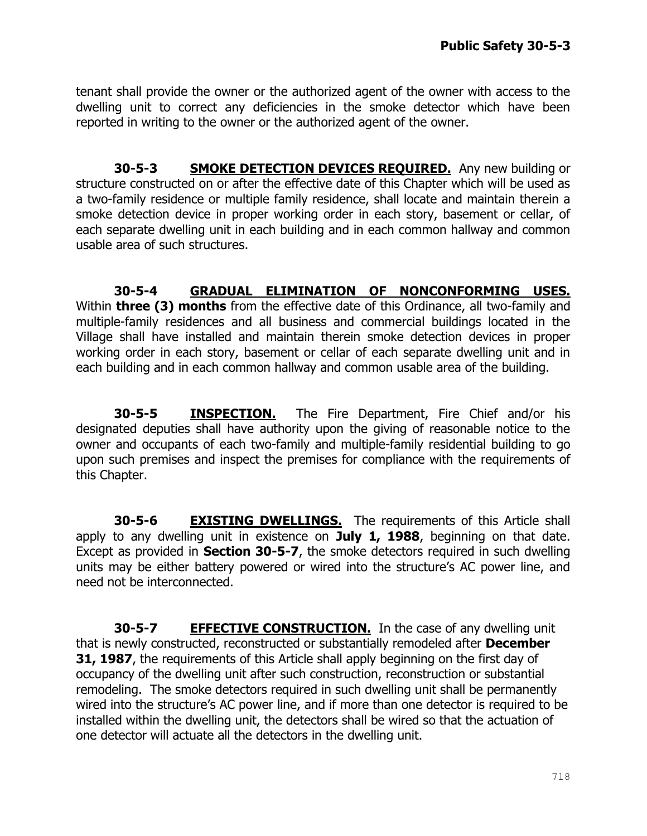tenant shall provide the owner or the authorized agent of the owner with access to the dwelling unit to correct any deficiencies in the smoke detector which have been reported in writing to the owner or the authorized agent of the owner.

**30-5-3 SMOKE DETECTION DEVICES REQUIRED.** Any new building or structure constructed on or after the effective date of this Chapter which will be used as a two-family residence or multiple family residence, shall locate and maintain therein a smoke detection device in proper working order in each story, basement or cellar, of each separate dwelling unit in each building and in each common hallway and common usable area of such structures.

**30-5-4 GRADUAL ELIMINATION OF NONCONFORMING USES.** Within **three (3) months** from the effective date of this Ordinance, all two-family and multiple-family residences and all business and commercial buildings located in the Village shall have installed and maintain therein smoke detection devices in proper working order in each story, basement or cellar of each separate dwelling unit and in each building and in each common hallway and common usable area of the building.

**30-5-5 INSPECTION.** The Fire Department, Fire Chief and/or his designated deputies shall have authority upon the giving of reasonable notice to the owner and occupants of each two-family and multiple-family residential building to go upon such premises and inspect the premises for compliance with the requirements of this Chapter.

**30-5-6 EXISTING DWELLINGS.** The requirements of this Article shall apply to any dwelling unit in existence on **July 1, 1988**, beginning on that date. Except as provided in **Section 30-5-7**, the smoke detectors required in such dwelling units may be either battery powered or wired into the structure's AC power line, and need not be interconnected.

**30-5-7 EFFECTIVE CONSTRUCTION.** In the case of any dwelling unit that is newly constructed, reconstructed or substantially remodeled after **December 31, 1987**, the requirements of this Article shall apply beginning on the first day of occupancy of the dwelling unit after such construction, reconstruction or substantial remodeling. The smoke detectors required in such dwelling unit shall be permanently wired into the structure's AC power line, and if more than one detector is required to be installed within the dwelling unit, the detectors shall be wired so that the actuation of one detector will actuate all the detectors in the dwelling unit.